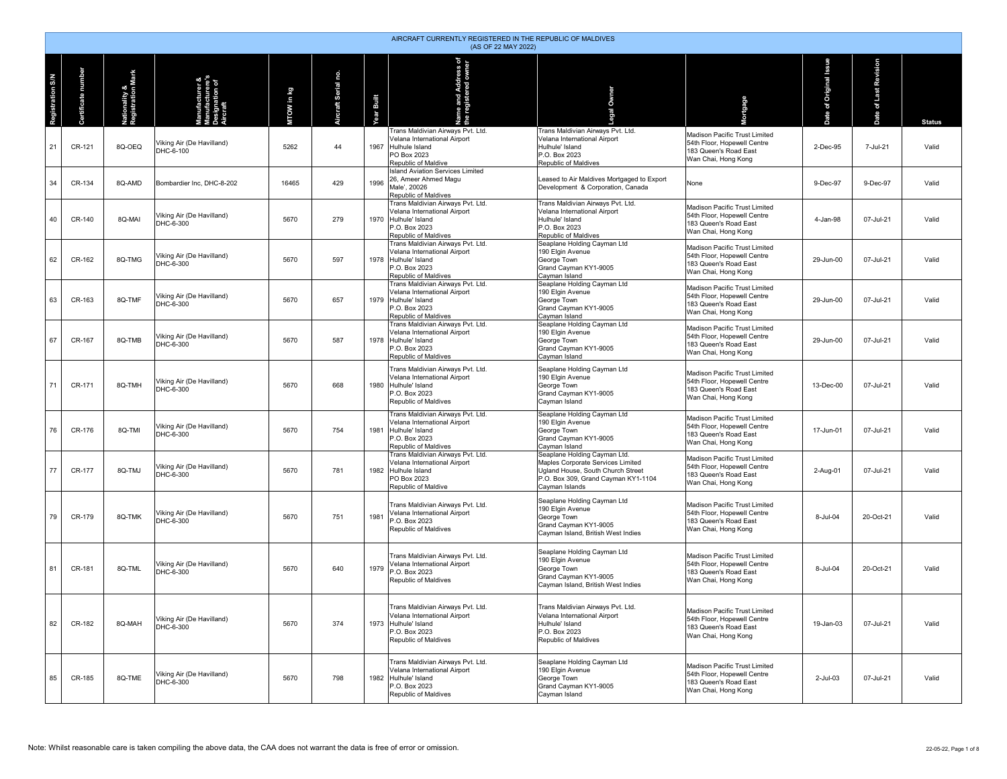|                         | AIRCRAFT CURRENTLY REGISTERED IN THE REPUBLIC OF MALDIVES<br>(AS OF 22 MAY 2022) |                                    |                                                             |            |                     |            |                                                                                                                                    |                                                                                                                                                                 |                                                                                                              |                                          |                          |               |  |  |
|-------------------------|----------------------------------------------------------------------------------|------------------------------------|-------------------------------------------------------------|------------|---------------------|------------|------------------------------------------------------------------------------------------------------------------------------------|-----------------------------------------------------------------------------------------------------------------------------------------------------------------|--------------------------------------------------------------------------------------------------------------|------------------------------------------|--------------------------|---------------|--|--|
| <b>Registration S/N</b> | tificate number                                                                  | Nationality &<br>Registration Mark | anufacturer &<br>anufacturere's<br>esignation of<br>ircraft | MTOW in kg | Aircraft Serial no. | Year Built | Name and Address of<br>the registered owner                                                                                        | Owner                                                                                                                                                           | rtgage                                                                                                       | <b>anss</b><br><b>Griginal</b><br>ð<br>e | of Last Revision<br>Date | <b>Status</b> |  |  |
| 21                      | CR-121                                                                           | 8Q-OEQ                             | Viking Air (De Havilland)<br>DHC-6-100                      | 5262       | 44                  | 1967       | Trans Maldivian Airways Pvt. Ltd.<br>Velana International Airport<br>Hulhule Island<br>PO Box 2023<br>Republic of Maldive          | Trans Maldivian Airways Pvt. Ltd.<br>Velana International Airport<br>Hulhule' Island<br>P.O. Box 2023<br>Republic of Maldives                                   | Madison Pacific Trust Limited<br>54th Floor, Hopewell Centre<br>183 Queen's Road East<br>Wan Chai, Hong Kong | 2-Dec-95                                 | 7-Jul-21                 | Valid         |  |  |
| 34                      | CR-134                                                                           | 8Q-AMD                             | Bombardier Inc, DHC-8-202                                   | 16465      | 429                 | 1996       | <b>Island Aviation Services Limited</b><br>26, Ameer Ahmed Magu<br>Male', 20026<br>Republic of Maldives                            | Leased to Air Maldives Mortgaged to Export<br>Development & Corporation, Canada                                                                                 | None                                                                                                         | 9-Dec-97                                 | 9-Dec-97                 | Valid         |  |  |
| 40                      | CR-140                                                                           | 8Q-MAI                             | Viking Air (De Havilland)<br>DHC-6-300                      | 5670       | 279                 |            | Trans Maldivian Airways Pvt. Ltd.<br>Velana International Airport<br>1970 Hulhule' Island<br>P.O. Box 2023<br>Republic of Maldives | Trans Maldivian Airways Pvt. Ltd.<br>Velana International Airport<br>Hulhule' Island<br>P.O. Box 2023<br>Republic of Maldives                                   | Madison Pacific Trust Limited<br>54th Floor, Hopewell Centre<br>183 Queen's Road East<br>Wan Chai, Hong Kong | 4-Jan-98                                 | 07-Jul-21                | Valid         |  |  |
| 62                      | CR-162                                                                           | 8Q-TMG                             | Viking Air (De Havilland)<br>DHC-6-300                      | 5670       | 597                 |            | Trans Maldivian Airways Pvt. Ltd.<br>Velana International Airport<br>1978 Hulhule' Island<br>P.O. Box 2023<br>Republic of Maldives | Seaplane Holding Cayman Ltd<br>190 Elgin Avenue<br>George Town<br>Grand Cayman KY1-9005<br>Cayman Island                                                        | Madison Pacific Trust Limited<br>54th Floor, Hopewell Centre<br>183 Queen's Road East<br>Wan Chai, Hong Kong | 29-Jun-00                                | 07-Jul-21                | Valid         |  |  |
| 63                      | CR-163                                                                           | 8Q-TMF                             | Viking Air (De Havilland)<br>DHC-6-300                      | 5670       | 657                 | 1979       | Trans Maldivian Airways Pvt. Ltd.<br>Velana International Airport<br>Hulhule' Island<br>P.O. Box 2023<br>Republic of Maldives      | Seaplane Holding Cayman Ltd<br>190 Elgin Avenue<br>George Town<br>Grand Cayman KY1-9005<br>Cayman Island                                                        | Madison Pacific Trust Limited<br>54th Floor, Hopewell Centre<br>183 Queen's Road East<br>Wan Chai, Hong Kong | 29-Jun-00                                | 07-Jul-21                | Valid         |  |  |
| 67                      | CR-167                                                                           | 8Q-TMB                             | Viking Air (De Havilland)<br>DHC-6-300                      | 5670       | 587                 |            | Trans Maldivian Airways Pvt. Ltd.<br>Velana International Airport<br>1978 Hulhule' Island<br>P.O. Box 2023<br>Republic of Maldives | Seaplane Holding Cayman Ltd<br>190 Elgin Avenue<br>George Town<br>Grand Cayman KY1-9005<br>Cayman Island                                                        | Madison Pacific Trust Limited<br>54th Floor, Hopewell Centre<br>183 Queen's Road East<br>Wan Chai, Hong Kong | 29-Jun-00                                | 07-Jul-21                | Valid         |  |  |
| 71                      | CR-171                                                                           | 8Q-TMH                             | Viking Air (De Havilland)<br>DHC-6-300                      | 5670       | 668                 | 1980       | Trans Maldivian Airways Pyt. Ltd.<br>Velana International Airport<br>Hulhule' Island<br>P.O. Box 2023<br>Republic of Maldives      | Seaplane Holding Cayman Ltd<br>190 Elgin Avenue<br>George Town<br>Grand Cayman KY1-9005<br>Cayman Island                                                        | Madison Pacific Trust Limited<br>54th Floor, Hopewell Centre<br>183 Queen's Road East<br>Wan Chai, Hong Kong | 13-Dec-00                                | 07-Jul-21                | Valid         |  |  |
| 76                      | CR-176                                                                           | 8Q-TMI                             | Viking Air (De Havilland)<br>DHC-6-300                      | 5670       | 754                 | 1981       | Trans Maldivian Airways Pvt. Ltd.<br>Velana International Airport<br>Hulhule' Island<br>P.O. Box 2023<br>Republic of Maldives      | Seaplane Holding Cayman Ltd<br>190 Elgin Avenue<br>George Town<br>Grand Cayman KY1-9005<br>Cayman Island                                                        | Madison Pacific Trust Limited<br>54th Floor, Hopewell Centre<br>183 Queen's Road East<br>Wan Chai, Hong Kong | 17-Jun-01                                | 07-Jul-21                | Valid         |  |  |
| 77                      | CR-177                                                                           | 8Q-TMJ                             | Viking Air (De Havilland)<br>DHC-6-300                      | 5670       | 781                 |            | Trans Maldivian Airways Pvt. Ltd.<br>Velana International Airport<br>1982 Hulhule Island<br>PO Box 2023<br>Republic of Maldive     | Seaplane Holding Cayman Ltd.<br>Maples Corporate Services Limited<br>Ugland House, South Church Street<br>P.O. Box 309, Grand Cayman KY1-1104<br>Cayman Islands | Madison Pacific Trust Limited<br>54th Floor, Hopewell Centre<br>183 Queen's Road East<br>Wan Chai, Hong Kong | 2-Aug-01                                 | 07-Jul-21                | Valid         |  |  |
| 79                      | CR-179                                                                           | 8Q-TMK                             | Viking Air (De Havilland)<br>DHC-6-300                      | 5670       | 751                 | 1981       | Trans Maldivian Airways Pvt. Ltd.<br>Velana International Airport<br>P.O. Box 2023<br>Republic of Maldives                         | Seaplane Holding Cayman Ltd<br>190 Elgin Avenue<br>George Town<br>Grand Cayman KY1-9005<br>Cayman Island, British West Indies                                   | Madison Pacific Trust Limited<br>54th Floor, Hopewell Centre<br>183 Queen's Road East<br>Wan Chai, Hong Kong | 8-Jul-04                                 | 20-Oct-21                | Valid         |  |  |
| 81                      | CR-181                                                                           | 8Q-TML                             | Viking Air (De Havilland)<br>DHC-6-300                      | 5670       | 640                 | 1979       | Trans Maldivian Airways Pvt. Ltd.<br>Velana International Airport<br>P.O. Box 2023<br>Republic of Maldives                         | Seaplane Holding Cayman Ltd<br>190 Elgin Avenue<br>George Town<br>Grand Cayman KY1-9005<br>Cayman Island, British West Indies                                   | Madison Pacific Trust Limited<br>54th Floor, Hopewell Centre<br>183 Queen's Road East<br>Wan Chai, Hong Kong | 8-Jul-04                                 | 20-Oct-21                | Valid         |  |  |
| 82                      | CR-182                                                                           | 8Q-MAH                             | Viking Air (De Havilland)<br>DHC-6-300                      | 5670       | 374                 |            | Trans Maldivian Airways Pvt. Ltd.<br>Velana International Airport<br>1973 Hulhule' Island<br>P.O. Box 2023<br>Republic of Maldives | Trans Maldivian Airways Pvt. Ltd.<br>Velana International Airport<br>Hulhule' Island<br>P.O. Box 2023<br>Republic of Maldives                                   | Madison Pacific Trust Limited<br>54th Floor, Hopewell Centre<br>183 Queen's Road East<br>Wan Chai, Hong Kong | 19-Jan-03                                | 07-Jul-21                | Valid         |  |  |
| 85                      | CR-185                                                                           | 8Q-TME                             | Viking Air (De Havilland)<br>DHC-6-300                      | 5670       | 798                 | 1982       | Trans Maldivian Airways Pvt. Ltd.<br>Velana International Airport<br>Hulhule' Island<br>P.O. Box 2023<br>Republic of Maldives      | Seaplane Holding Cayman Ltd<br>190 Elgin Avenue<br>George Town<br>Grand Cayman KY1-9005<br>Cayman Island                                                        | Madison Pacific Trust Limited<br>54th Floor, Hopewell Centre<br>183 Queen's Road East<br>Wan Chai, Hong Kong | $2$ -Jul-03                              | 07-Jul-21                | Valid         |  |  |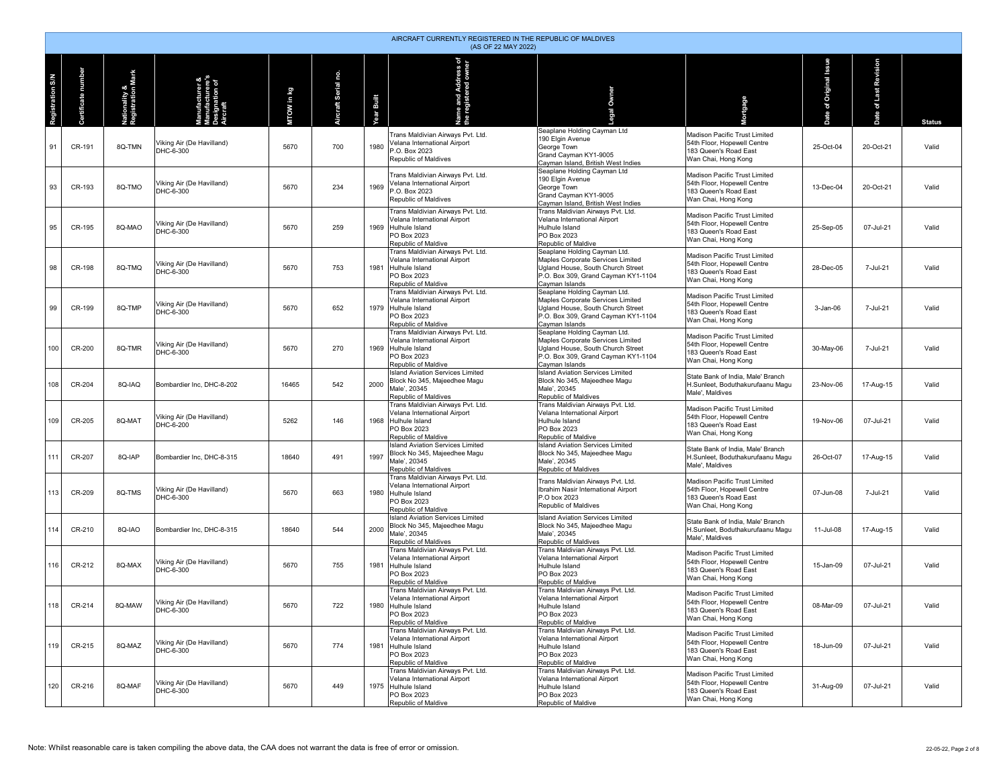|                  | AIRCRAFT CURRENTLY REGISTERED IN THE REPUBLIC OF MALDIVES<br>(AS OF 22 MAY 2022) |                                    |                                                                |            |                     |            |                                                                                                                                |                                                                                                                                                                 |                                                                                                              |                                   |                          |               |  |  |
|------------------|----------------------------------------------------------------------------------|------------------------------------|----------------------------------------------------------------|------------|---------------------|------------|--------------------------------------------------------------------------------------------------------------------------------|-----------------------------------------------------------------------------------------------------------------------------------------------------------------|--------------------------------------------------------------------------------------------------------------|-----------------------------------|--------------------------|---------------|--|--|
| Registration S/N | rtificate number<br>දී                                                           | Nationality &<br>Registration Mark | lanufacturer &<br>lanufacturere's<br>esignation of<br>.ircraft | MTOW in kg | Aircraft Serial no. | Year Built | Name and Address of<br>the registered owner                                                                                    | Owner                                                                                                                                                           | rtgage                                                                                                       | enss<br><b>Griginal</b><br>ð<br>9 | of Last Revision<br>Date | <b>Status</b> |  |  |
| 91               | CR-191                                                                           | 8Q-TMN                             | Viking Air (De Havilland)<br>DHC-6-300                         | 5670       | 700                 | 1980       | Trans Maldivian Airways Pvt. Ltd.<br>Velana International Airport<br>P.O. Box 2023<br>Republic of Maldives                     | Seaplane Holding Cayman Ltd<br>190 Elgin Avenue<br>George Town<br>Grand Cayman KY1-9005<br>Cayman Island, British West Indies                                   | Madison Pacific Trust Limited<br>54th Floor, Hopewell Centre<br>183 Queen's Road East<br>Wan Chai, Hong Kong | 25-Oct-04                         | 20-Oct-21                | Valid         |  |  |
| 93               | CR-193                                                                           | 8Q-TMO                             | Viking Air (De Havilland)<br>DHC-6-300                         | 5670       | 234                 | 1969       | Trans Maldivian Airways Pvt. Ltd.<br>Velana International Airport<br>-. O. Box 2023<br>Republic of Maldives                    | Seaplane Holding Cayman Ltd<br>190 Elgin Avenue<br>George Town<br>Grand Cavman KY1-9005<br>Cayman Island, British West Indies                                   | Madison Pacific Trust Limited<br>54th Floor. Hopewell Centre<br>183 Queen's Road East<br>Wan Chai, Hong Kong | 13-Dec-04                         | 20-Oct-21                | Valid         |  |  |
| 95               | CR-195                                                                           | 8Q-MAO                             | Viking Air (De Havilland)<br>DHC-6-300                         | 5670       | 259                 | 1969       | Trans Maldivian Airways Pvt. Ltd.<br>Velana International Airport<br>Hulhule Island<br>PO Box 2023<br>Republic of Maldive      | Trans Maldivian Airways Pvt. Ltd.<br>Velana International Airport<br>Hulhule Island<br>PO Box 2023<br>Republic of Maldive                                       | Madison Pacific Trust Limited<br>54th Floor, Hopewell Centre<br>183 Queen's Road East<br>Wan Chai, Hong Kong | 25-Sep-05                         | 07-Jul-21                | Valid         |  |  |
| 98               | CR-198                                                                           | 8Q-TMQ                             | Viking Air (De Havilland)<br>DHC-6-300                         | 5670       | 753                 | 1981       | Trans Maldivian Airways Pvt. Ltd.<br>Velana International Airport<br>Hulhule Island<br>PO Box 2023<br>Republic of Maldive      | Seaplane Holding Cayman Ltd.<br>Maples Corporate Services Limited<br>Ugland House, South Church Street<br>P.O. Box 309, Grand Cayman KY1-1104<br>Cayman Islands | Madison Pacific Trust Limited<br>54th Floor, Hopewell Centre<br>183 Queen's Road East<br>Wan Chai, Hong Kong | 28-Dec-05                         | 7-Jul-21                 | Valid         |  |  |
| 99               | CR-199                                                                           | 8Q-TMP                             | Viking Air (De Havilland)<br>DHC-6-300                         | 5670       | 652                 |            | Trans Maldivian Airways Pvt. Ltd.<br>Velana International Airport<br>1979 Hulhule Island<br>PO Box 2023<br>Republic of Maldive | Seaplane Holding Cayman Ltd.<br>Maples Corporate Services Limited<br>Ugland House, South Church Street<br>P.O. Box 309, Grand Cayman KY1-1104<br>Cayman Islands | Madison Pacific Trust Limited<br>54th Floor, Hopewell Centre<br>183 Queen's Road East<br>Wan Chai, Hong Kong | 3-Jan-06                          | 7-Jul-21                 | Valid         |  |  |
| 100              | CR-200                                                                           | 8Q-TMR                             | Viking Air (De Havilland)<br>DHC-6-300                         | 5670       | 270                 | 1969       | Trans Maldivian Airways Pvt. Ltd.<br>Velana International Airport<br>Hulhule Island<br>PO Box 2023<br>Republic of Maldive      | Seaplane Holding Cayman Ltd.<br>Maples Corporate Services Limited<br>Ugland House, South Church Street<br>P.O. Box 309, Grand Cayman KY1-1104<br>Cayman Islands | Madison Pacific Trust Limited<br>54th Floor, Hopewell Centre<br>183 Queen's Road East<br>Wan Chai, Hong Kong | 30-May-06                         | 7-Jul-21                 | Valid         |  |  |
| 108              | CR-204                                                                           | 8Q-IAQ                             | Bombardier Inc. DHC-8-202                                      | 16465      | 542                 | 2000       | Island Aviation Services Limited<br>Block No 345, Maieedhee Magu<br>Male', 20345<br>Republic of Maldives                       | <b>Island Aviation Services Limited</b><br>Block No 345, Maieedhee Magu<br>Male', 20345<br>Republic of Maldives                                                 | State Bank of India, Male' Branch<br>H.Sunleet, Boduthakurufaanu Magu<br>Male', Maldives                     | 23-Nov-06                         | 17-Aug-15                | Valid         |  |  |
| 109              | CR-205                                                                           | 8Q-MAT                             | Viking Air (De Havilland)<br>DHC-6-200                         | 5262       | 146                 | 1968       | Trans Maldivian Airways Pvt. Ltd.<br>Velana International Airport<br>Hulhule Island<br>PO Box 2023<br>Republic of Maldive      | Trans Maldivian Airways Pvt. Ltd.<br>Velana International Airport<br>Hulhule Island<br>PO Box 2023<br>Republic of Maldive                                       | Madison Pacific Trust Limited<br>54th Floor, Hopewell Centre<br>183 Queen's Road East<br>Wan Chai, Hong Kong | 19-Nov-06                         | 07-Jul-21                | Valid         |  |  |
| 111              | CR-207                                                                           | 8Q-IAP                             | Bombardier Inc, DHC-8-315                                      | 18640      | 491                 | 1997       | <b>Island Aviation Services Limited</b><br>Block No 345, Majeedhee Magu<br>Male', 20345<br>Republic of Maldives                | <b>Island Aviation Services Limited</b><br>Block No 345, Majeedhee Magu<br>Male', 20345<br>Republic of Maldives                                                 | State Bank of India, Male' Branch<br>H.Sunleet, Boduthakurufaanu Magu<br>Male'. Maldives                     | 26-Oct-07                         | 17-Aug-15                | Valid         |  |  |
| 113              | CR-209                                                                           | 8Q-TMS                             | Viking Air (De Havilland)<br>DHC-6-300                         | 5670       | 663                 | 1980       | Trans Maldivian Airways Pvt. Ltd.<br>Velana International Airport<br>Hulhule Island<br>PO Box 2023<br>Republic of Maldive      | Trans Maldivian Airways Pvt. Ltd.<br>Ibrahim Nasir International Airport<br>P.O box 2023<br>Republic of Maldives                                                | Madison Pacific Trust Limited<br>54th Floor, Hopewell Centre<br>183 Queen's Road East<br>Wan Chai, Hong Kong | 07-Jun-08                         | 7-Jul-21                 | Valid         |  |  |
| 114              | CR-210                                                                           | 8Q-IAO                             | Bombardier Inc, DHC-8-315                                      | 18640      | 544                 | 2000       | <b>Island Aviation Services Limited</b><br>Block No 345, Maieedhee Magu<br>Male', 20345<br>Republic of Maldives                | <b>Island Aviation Services Limited</b><br>Block No 345. Maieedhee Magu<br>Male', 20345<br>Republic of Maldives                                                 | State Bank of India, Male' Branch<br>H.Sunleet, Boduthakurufaanu Magu<br>Male'. Maldives                     | 11-Jul-08                         | 17-Aug-15                | Valid         |  |  |
| 116              | CR-212                                                                           | 8Q-MAX                             | Viking Air (De Havilland)<br>DHC-6-300                         | 5670       | 755                 | 1981       | Trans Maldivian Airways Pvt. Ltd.<br>Velana International Airport<br>Hulhule Island<br>PO Box 2023<br>Republic of Maldive      | Trans Maldivian Airways Pvt. Ltd.<br>Velana International Airport<br>Hulhule Island<br>PO Box 2023<br>Republic of Maldive                                       | Madison Pacific Trust Limited<br>54th Floor, Hopewell Centre<br>183 Queen's Road East<br>Wan Chai, Hong Kong | 15-Jan-09                         | 07-Jul-21                | Valid         |  |  |
| 118              | CR-214                                                                           | 8Q-MAW                             | Viking Air (De Havilland)<br>DHC-6-300                         | 5670       | 722                 |            | Trans Maldivian Airways Pvt. Ltd.<br>Velana International Airport<br>1980 Hulhule Island<br>PO Box 2023<br>Republic of Maldive | Trans Maldivian Airways Pyt. Ltd.<br>Velana International Airport<br>Hulhule Island<br>PO Box 2023<br>Republic of Maldive                                       | Madison Pacific Trust Limited<br>54th Floor, Hopewell Centre<br>183 Queen's Road East<br>Wan Chai, Hong Kong | 08-Mar-09                         | 07-Jul-21                | Valid         |  |  |
| 119              | CR-215                                                                           | 8Q-MAZ                             | Viking Air (De Havilland)<br>DHC-6-300                         | 5670       | 774                 | 1981       | Trans Maldivian Airways Pvt. Ltd.<br>Velana International Airport<br>Hulhule Island<br>PO Box 2023<br>Republic of Maldive      | Trans Maldivian Airways Pvt. Ltd.<br>Velana International Airport<br>Hulhule Island<br>PO Box 2023<br>Republic of Maldive                                       | Madison Pacific Trust Limited<br>54th Floor, Hopewell Centre<br>183 Queen's Road East<br>Wan Chai, Hong Kong | 18-Jun-09                         | 07-Jul-21                | Valid         |  |  |
| 120              | CR-216                                                                           | 8Q-MAF                             | Viking Air (De Havilland)<br>DHC-6-300                         | 5670       | 449                 |            | Trans Maldivian Airways Pvt. Ltd.<br>Velana International Airport<br>1975 Hulhule Island<br>PO Box 2023<br>Republic of Maldive | Trans Maldivian Airways Pvt. Ltd.<br>Velana International Airport<br>Hulhule Island<br>PO Box 2023<br>Republic of Maldive                                       | Madison Pacific Trust Limited<br>54th Floor, Hopewell Centre<br>183 Queen's Road East<br>Wan Chai, Hong Kong | 31-Aug-09                         | 07-Jul-21                | Valid         |  |  |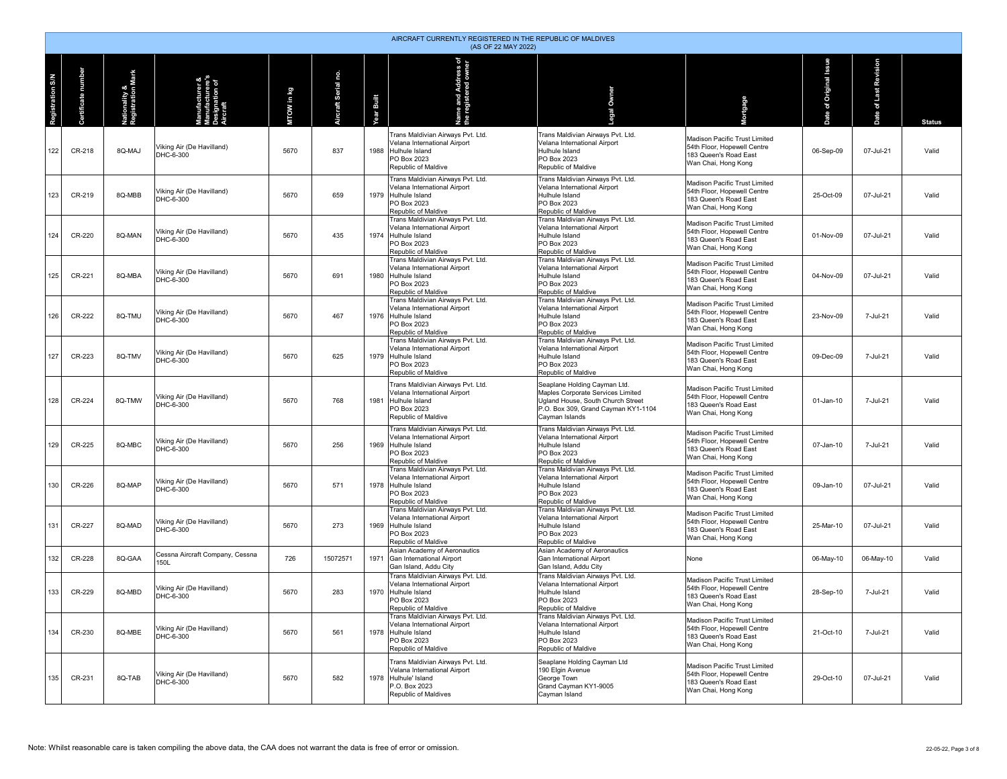|                  | AIRCRAFT CURRENTLY REGISTERED IN THE REPUBLIC OF MALDIVES<br>(AS OF 22 MAY 2022) |                                    |                                                        |            |                     |                   |                                                                                                                                                                     |                                                                                                                                                                 |                                                                                                              |                                    |                          |               |  |  |
|------------------|----------------------------------------------------------------------------------|------------------------------------|--------------------------------------------------------|------------|---------------------|-------------------|---------------------------------------------------------------------------------------------------------------------------------------------------------------------|-----------------------------------------------------------------------------------------------------------------------------------------------------------------|--------------------------------------------------------------------------------------------------------------|------------------------------------|--------------------------|---------------|--|--|
| Registration S/N | number<br>rtificate i<br>ŏ                                                       | Nationality &<br>Registration Mark | nufacturer &<br>nufacturere's<br>signation of<br>craft | MTOW in kg | Aircraft Serial no. | <b>Year Built</b> | Name and Address of<br>the registered owner                                                                                                                         | Owner                                                                                                                                                           | <b>Aortgage</b>                                                                                              | ssue<br>Original<br>$\bar{5}$<br>ه | of Last Revision<br>Date | <b>Status</b> |  |  |
| 122              | CR-218                                                                           | 8Q-MAJ                             | Viking Air (De Havilland)<br>DHC-6-300                 | 5670       | 837                 | 1988              | Trans Maldivian Airways Pvt. Ltd.<br>Velana International Airport<br>Hulhule Island<br>PO Box 2023<br>Republic of Maldive                                           | Trans Maldivian Airways Pvt. Ltd.<br>Velana International Airport<br>Hulhule Island<br>PO Box 2023<br>Republic of Maldive                                       | Madison Pacific Trust Limited<br>54th Floor, Hopewell Centre<br>183 Queen's Road East<br>Wan Chai, Hong Kong | 06-Sep-09                          | 07-Jul-21                | Valid         |  |  |
| 123              | CR-219                                                                           | 8Q-MBB                             | Viking Air (De Havilland)<br>DHC-6-300                 | 5670       | 659                 |                   | Trans Maldivian Airways Pyt, Ltd.<br>Velana International Airport<br>1979 Hulhule Island<br>PO Box 2023<br>Republic of Maldive                                      | Trans Maldivian Airways Pvt. Ltd.<br>Velana International Airport<br>Hulhule Island<br>PO Box 2023<br>Republic of Maldive                                       | Madison Pacific Trust Limited<br>54th Floor, Hopewell Centre<br>183 Queen's Road East<br>Wan Chai, Hong Kong | 25-Oct-09                          | 07-Jul-21                | Valid         |  |  |
| 124              | CR-220                                                                           | 8Q-MAN                             | Viking Air (De Havilland)<br>DHC-6-300                 | 5670       | 435                 |                   | Trans Maldivian Airways Pvt. Ltd.<br>Velana International Airport<br>1974 Hulhule Island<br>PO Box 2023<br>Republic of Maldive<br>Trans Maldivian Airways Pvt. Ltd. | Trans Maldivian Airways Pvt. Ltd.<br>Velana International Airport<br>Hulhule Island<br>PO Box 2023<br>Republic of Maldive<br>Trans Maldivian Airways Pvt. Ltd.  | Madison Pacific Trust Limited<br>54th Floor, Hopewell Centre<br>183 Queen's Road East<br>Wan Chai, Hong Kong | 01-Nov-09                          | 07-Jul-21                | Valid         |  |  |
| 125              | CR-221                                                                           | 8Q-MBA                             | Viking Air (De Havilland)<br>DHC-6-300                 | 5670       | 691                 | 1980              | Velana International Airport<br>Hulhule Island<br>PO Box 2023<br>Republic of Maldive                                                                                | Velana International Airport<br>Hulhule Island<br>PO Box 2023<br>Republic of Maldive                                                                            | Madison Pacific Trust Limited<br>54th Floor, Hopewell Centre<br>183 Queen's Road East<br>Wan Chai, Hong Kong | 04-Nov-09                          | 07-Jul-21                | Valid         |  |  |
| 126              | CR-222                                                                           | 8Q-TMU                             | Viking Air (De Havilland)<br>DHC-6-300                 | 5670       | 467                 |                   | Trans Maldivian Airways Pvt. Ltd.<br>Velana International Airport<br>1976 Hulhule Island<br>PO Box 2023<br>Republic of Maldive                                      | Trans Maldivian Airways Pvt. Ltd.<br>Velana International Airport<br>Hulhule Island<br>PO Box 2023<br>Republic of Maldive                                       | Madison Pacific Trust Limited<br>54th Floor. Hopewell Centre<br>183 Queen's Road East<br>Wan Chai, Hong Kong | 23-Nov-09                          | 7-Jul-21                 | Valid         |  |  |
| 127              | CR-223                                                                           | 8Q-TMV                             | Viking Air (De Havilland)<br>DHC-6-300                 | 5670       | 625                 |                   | Trans Maldivian Airways Pvt. Ltd.<br>Velana International Airport<br>1979 Hulhule Island<br>PO Box 2023<br>Republic of Maldive                                      | Trans Maldivian Airways Pvt. Ltd.<br>Velana International Airport<br>Hulhule Island<br>PO Box 2023<br>Republic of Maldive                                       | Madison Pacific Trust Limited<br>54th Floor, Hopewell Centre<br>183 Queen's Road East<br>Wan Chai, Hong Kong | 09-Dec-09                          | 7-Jul-21                 | Valid         |  |  |
| 128              | CR-224                                                                           | 8Q-TMW                             | Viking Air (De Havilland)<br>DHC-6-300                 | 5670       | 768                 | 1981              | Trans Maldivian Airways Pvt. Ltd.<br>Velana International Airport<br>Hulhule Island<br>PO Box 2023<br>Republic of Maldive                                           | Seaplane Holding Cayman Ltd.<br>Maples Corporate Services Limited<br>Ugland House, South Church Street<br>P.O. Box 309, Grand Cayman KY1-1104<br>Cayman Islands | Madison Pacific Trust Limited<br>54th Floor, Hopewell Centre<br>183 Queen's Road East<br>Wan Chai, Hong Kong | 01-Jan-10                          | 7-Jul-21                 | Valid         |  |  |
| 129              | CR-225                                                                           | 8Q-MBC                             | Viking Air (De Havilland)<br>DHC-6-300                 | 5670       | 256                 | 1969              | Trans Maldivian Airways Pvt. Ltd.<br>Velana International Airport<br>Hulhule Island<br>PO Box 2023<br>Republic of Maldive                                           | Trans Maldivian Airways Pvt. Ltd.<br>Velana International Airport<br>Hulhule Island<br>PO Box 2023<br>Republic of Maldive                                       | Madison Pacific Trust Limited<br>54th Floor, Hopewell Centre<br>183 Queen's Road East<br>Wan Chai, Hong Kong | 07-Jan-10                          | 7-Jul-21                 | Valid         |  |  |
| 130              | CR-226                                                                           | 8Q-MAP                             | Viking Air (De Havilland)<br>DHC-6-300                 | 5670       | 571                 |                   | Trans Maldivian Airways Pvt. Ltd.<br>Velana International Airport<br>1978 Hulhule Island<br>PO Box 2023<br>Republic of Maldive                                      | Trans Maldivian Airways Pvt. Ltd.<br>Velana International Airport<br>Hulhule Island<br>PO Box 2023<br>Republic of Maldive                                       | Madison Pacific Trust Limited<br>54th Floor, Hopewell Centre<br>183 Queen's Road East<br>Wan Chai, Hong Kong | 09-Jan-10                          | 07-Jul-21                | Valid         |  |  |
| 131              | CR-227                                                                           | 8Q-MAD                             | Viking Air (De Havilland)<br>DHC-6-300                 | 5670       | 273                 |                   | Trans Maldivian Airways Pvt. Ltd.<br>Velana International Airport<br>1969 Hulhule Island<br>PO Box 2023<br>Republic of Maldive                                      | Trans Maldivian Airways Pvt. Ltd.<br>Velana International Airport<br>Hulhule Island<br>PO Box 2023<br>Republic of Maldive                                       | Madison Pacific Trust Limited<br>54th Floor, Hopewell Centre<br>183 Queen's Road East<br>Wan Chai, Hong Kong | 25-Mar-10                          | 07-Jul-21                | Valid         |  |  |
| 132              | CR-228                                                                           | 8Q-GAA                             | Cessna Aircraft Company, Cessna<br>150L                | 726        | 15072571            | 1971              | Asian Academy of Aeronautics<br>Gan International Airport<br>Gan Island, Addu City                                                                                  | Asian Academy of Aeronautics<br>Gan International Airport<br>Gan Island, Addu City                                                                              | None                                                                                                         | 06-May-10                          | 06-May-10                | Valid         |  |  |
| 133              | CR-229                                                                           | 8Q-MBD                             | Viking Air (De Havilland)<br>DHC-6-300                 | 5670       | 283                 | 1970              | Trans Maldivian Airways Pvt. Ltd.<br>Velana International Airport<br>Hulhule Island<br>PO Box 2023<br>Republic of Maldive                                           | Trans Maldivian Airways Pvt. Ltd.<br>Velana International Airport<br>Hulhule Island<br>PO Box 2023<br>Republic of Maldive                                       | Madison Pacific Trust Limited<br>54th Floor. Hopewell Centre<br>183 Queen's Road East<br>Wan Chai, Hong Kong | 28-Sep-10                          | 7-Jul-21                 | Valid         |  |  |
| 134              | CR-230                                                                           | 8Q-MBE                             | Viking Air (De Havilland)<br>DHC-6-300                 | 5670       | 561                 |                   | Trans Maldivian Airways Pvt. Ltd.<br>Velana International Airport<br>1978 Hulhule Island<br>PO Box 2023<br>Republic of Maldive                                      | Trans Maldivian Airways Pvt. Ltd.<br>Velana International Airport<br>Hulhule Island<br>PO Box 2023<br>Republic of Maldive                                       | Madison Pacific Trust Limited<br>54th Floor, Hopewell Centre<br>183 Queen's Road East<br>Wan Chai, Hong Kong | 21-Oct-10                          | 7-Jul-21                 | Valid         |  |  |
| 135              | CR-231                                                                           | 8Q-TAB                             | Viking Air (De Havilland)<br>DHC-6-300                 | 5670       | 582                 | 1978              | Trans Maldivian Airways Pvt. Ltd.<br>Velana International Airport<br>Hulhule' Island<br>P.O. Box 2023<br>Republic of Maldives                                       | Seaplane Holding Cayman Ltd<br>190 Elgin Avenue<br>George Town<br>Grand Cayman KY1-9005<br>Cayman Island                                                        | Madison Pacific Trust Limited<br>54th Floor, Hopewell Centre<br>183 Queen's Road East<br>Wan Chai, Hong Kong | 29-Oct-10                          | 07-Jul-21                | Valid         |  |  |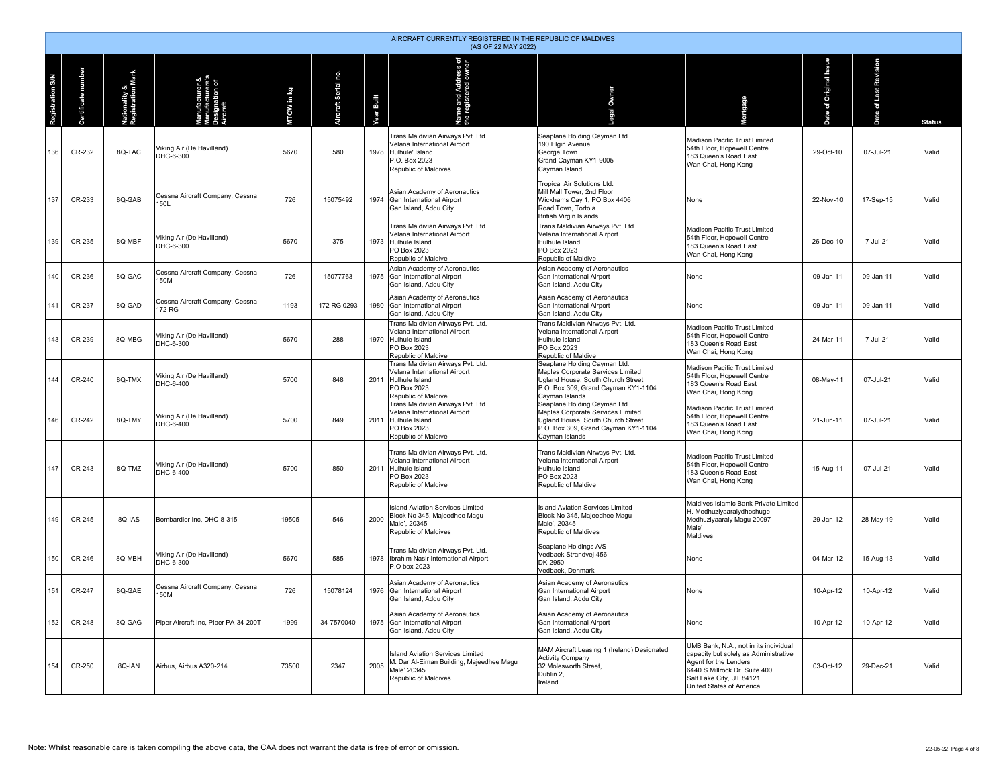|                         | AIRCRAFT CURRENTLY REGISTERED IN THE REPUBLIC OF MALDIVES<br>(AS OF 22 MAY 2022) |                             |                                            |            |                            |                      |                                                                                                                                |                                                                                                                                                                 |                                                                                                                                                                                                  |                   |                          |               |  |  |
|-------------------------|----------------------------------------------------------------------------------|-----------------------------|--------------------------------------------|------------|----------------------------|----------------------|--------------------------------------------------------------------------------------------------------------------------------|-----------------------------------------------------------------------------------------------------------------------------------------------------------------|--------------------------------------------------------------------------------------------------------------------------------------------------------------------------------------------------|-------------------|--------------------------|---------------|--|--|
| <b>Registration S/N</b> | ificate number                                                                   | onality &<br>istration Mark | acturer &<br>nufacturere's<br>signation of | WTOW in kg | <b>vircraft Serial no.</b> | <b>Built</b><br>'ear | ne and Address of<br>registered owner                                                                                          | Owner                                                                                                                                                           | ortgage                                                                                                                                                                                          | Original iss<br>ð | of Last Revision<br>Date | <b>Status</b> |  |  |
| 136                     | CR-232                                                                           | 8Q-TAC                      | Viking Air (De Havilland)<br>DHC-6-300     | 5670       | 580                        | 1978                 | Trans Maldivian Airways Pvt. Ltd.<br>Velana International Airport<br>Hulhule' Island<br>P.O. Box 2023<br>Republic of Maldives  | Seaplane Holding Cayman Ltd<br>190 Elgin Avenue<br>George Town<br>Grand Cayman KY1-9005<br>Cayman Island                                                        | Madison Pacific Trust Limited<br>54th Floor, Hopewell Centre<br>183 Queen's Road East<br>Wan Chai, Hong Kong                                                                                     | 29-Oct-10         | 07-Jul-21                | Valid         |  |  |
| 137                     | CR-233                                                                           | 8Q-GAB                      | Cessna Aircraft Company, Cessna<br>150L    | 726        | 15075492                   | 1974                 | Asian Academy of Aeronautics<br>Gan International Airport<br>Gan Island, Addu City                                             | Tropical Air Solutions Ltd.<br>Mill Mall Tower, 2nd Floor<br>Wickhams Cay 1, PO Box 4406<br>Road Town, Tortola<br><b>British Virgin Islands</b>                 | <b>None</b>                                                                                                                                                                                      | 22-Nov-10         | 17-Sep-15                | Valid         |  |  |
| 139                     | CR-235                                                                           | 8Q-MBF                      | Viking Air (De Havilland)<br>DHC-6-300     | 5670       | 375                        |                      | Trans Maldivian Airways Pvt. Ltd.<br>Velana International Airport<br>1973 Hulhule Island<br>PO Box 2023<br>Republic of Maldive | Trans Maldivian Airways Pvt. Ltd.<br>Velana International Airport<br>Hulhule Island<br>PO Box 2023<br>Republic of Maldive                                       | Madison Pacific Trust Limited<br>54th Floor. Hopewell Centre<br>183 Queen's Road East<br>Wan Chai, Hong Kong                                                                                     | 26-Dec-10         | 7-Jul-21                 | Valid         |  |  |
| 140                     | CR-236                                                                           | 8Q-GAC                      | Cessna Aircraft Company, Cessna<br>150M    | 726        | 15077763                   |                      | Asian Academy of Aeronautics<br>1975 Gan International Airport<br>Gan Island, Addu City                                        | Asian Academy of Aeronautics<br>Gan International Airport<br>Gan Island, Addu City                                                                              | None                                                                                                                                                                                             | 09-Jan-11         | 09-Jan-11                | Valid         |  |  |
| 141                     | CR-237                                                                           | 8Q-GAD                      | Cessna Aircraft Company, Cessna<br>172 RG  | 1193       | 172 RG 0293                | 1980                 | Asian Academy of Aeronautics<br>Gan International Airport<br>Gan Island, Addu City                                             | Asian Academy of Aeronautics<br>Gan International Airport<br>Gan Island, Addu City                                                                              | None                                                                                                                                                                                             | 09-Jan-11         | 09-Jan-11                | Valid         |  |  |
| 143                     | CR-239                                                                           | 8Q-MBG                      | Viking Air (De Havilland)<br>DHC-6-300     | 5670       | 288                        | 1970                 | Trans Maldivian Airways Pvt. Ltd.<br>Velana International Airport<br>Hulhule Island<br>PO Box 2023<br>Republic of Maldive      | Trans Maldivian Airways Pvt. Ltd.<br>Velana International Airport<br>Hulhule Island<br>PO Box 2023<br>Republic of Maldive                                       | Madison Pacific Trust Limited<br>54th Floor, Hopewell Centre<br>183 Queen's Road East<br>Wan Chai, Hong Kong                                                                                     | 24-Mar-11         | 7-Jul-21                 | Valid         |  |  |
| 144                     | CR-240                                                                           | 8Q-TMX                      | Viking Air (De Havilland)<br>DHC-6-400     | 5700       | 848                        |                      | Trans Maldivian Airways Pvt. Ltd.<br>Velana International Airport<br>2011 Hulhule Island<br>PO Box 2023<br>Republic of Maldive | Seaplane Holding Cayman Ltd.<br>Maples Corporate Services Limited<br>Ugland House, South Church Street<br>P.O. Box 309, Grand Cayman KY1-1104<br>Cayman Islands | Madison Pacific Trust Limited<br>54th Floor, Hopewell Centre<br>183 Queen's Road East<br>Wan Chai, Hong Kong                                                                                     | 08-May-11         | 07-Jul-21                | Valid         |  |  |
| 146                     | CR-242                                                                           | 8Q-TMY                      | Viking Air (De Havilland)<br>DHC-6-400     | 5700       | 849                        | 2011                 | Trans Maldivian Airways Pvt. Ltd.<br>Velana International Airport<br>Hulhule Island<br>PO Box 2023<br>Republic of Maldive      | Seaplane Holding Cayman Ltd.<br>Maples Corporate Services Limited<br>Ugland House, South Church Street<br>P.O. Box 309, Grand Cayman KY1-1104<br>Cayman Islands | Madison Pacific Trust Limited<br>54th Floor, Hopewell Centre<br>183 Queen's Road East<br>Wan Chai, Hong Kong                                                                                     | 21-Jun-11         | 07-Jul-21                | Valid         |  |  |
| 147                     | CR-243                                                                           | 8Q-TMZ                      | Viking Air (De Havilland)<br>DHC-6-400     | 5700       | 850                        |                      | Trans Maldivian Airways Pvt. Ltd.<br>Velana International Airport<br>2011 Hulhule Island<br>PO Box 2023<br>Republic of Maldive | Trans Maldivian Airways Pvt. Ltd.<br>Velana International Airport<br>Hulhule Island<br>PO Box 2023<br>Republic of Maldive                                       | Madison Pacific Trust Limited<br>54th Floor, Hopewell Centre<br>183 Queen's Road East<br>Wan Chai, Hong Kong                                                                                     | 15-Aug-11         | 07-Jul-21                | Valid         |  |  |
| 149                     | CR-245                                                                           | 8Q-IAS                      | Bombardier Inc. DHC-8-315                  | 19505      | 546                        | 2000                 | <b>Island Aviation Services Limited</b><br>Block No 345, Majeedhee Magu<br>Male', 20345<br>Republic of Maldives                | <b>Island Aviation Services Limited</b><br>Block No 345, Majeedhee Magu<br>Male', 20345<br>Republic of Maldives                                                 | Maldives Islamic Bank Private Limited<br>H. Medhuziyaaraiydhoshuge<br>Medhuziyaaraiy Magu 20097<br>Male'<br>Maldives                                                                             | 29-Jan-12         | 28-May-19                | Valid         |  |  |
| 150                     | CR-246                                                                           | 8Q-MBH                      | Viking Air (De Havilland)<br>DHC-6-300     | 5670       | 585                        | 1978                 | Trans Maldivian Airways Pvt. Ltd.<br>Ibrahim Nasir International Airport<br>P.O box 2023                                       | Seaplane Holdings A/S<br>Vedbaek Strandvej 456<br>DK-2950<br>Vedbaek, Denmark                                                                                   | None                                                                                                                                                                                             | 04-Mar-12         | 15-Aug-13                | Valid         |  |  |
| 151                     | CR-247                                                                           | 8Q-GAE                      | Cessna Aircraft Company, Cessna<br>150M    | 726        | 15078124                   | 1976                 | Asian Academy of Aeronautics<br>Gan International Airport<br>Gan Island, Addu City                                             | Asian Academy of Aeronautics<br>Gan International Airport<br>Gan Island, Addu City                                                                              | <b>None</b>                                                                                                                                                                                      | 10-Apr-12         | 10-Apr-12                | Valid         |  |  |
| 152                     | CR-248                                                                           | 8Q-GAG                      | Piper Aircraft Inc, Piper PA-34-200T       | 1999       | 34-7570040                 |                      | Asian Academy of Aeronautics<br>1975 Gan International Airport<br>Gan Island, Addu City                                        | Asian Academy of Aeronautics<br>Gan International Airport<br>Gan Island, Addu City                                                                              | None                                                                                                                                                                                             | 10-Apr-12         | 10-Apr-12                | Valid         |  |  |
| 154                     | CR-250                                                                           | 80-IAN                      | Airbus, Airbus A320-214                    | 73500      | 2347                       | 2005                 | Island Aviation Services Limited<br>M. Dar Al-Eiman Building, Majeedhee Magu<br>Male' 20345<br>Republic of Maldives            | MAM Aircraft Leasing 1 (Ireland) Designated<br><b>Activity Company</b><br>32 Molesworth Street<br>Dublin 2,<br>Ireland                                          | UMB Bank, N.A., not in its individual<br>capacity but solely as Administrative<br>Agent for the Lenders<br>6440 S.Millrock Dr. Suite 400<br>Salt Lake City, UT 84121<br>United States of America | $03 - 0ct - 12$   | 29-Dec-21                | Valid         |  |  |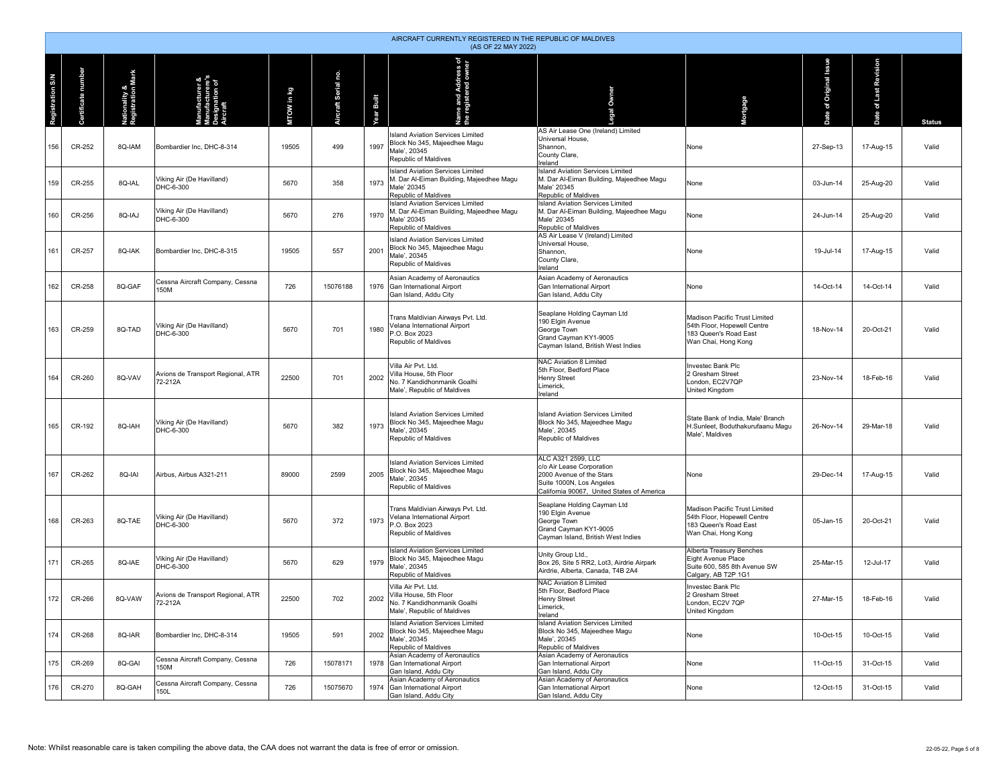|                  | AIRCRAFT CURRENTLY REGISTERED IN THE REPUBLIC OF MALDIVES<br>(AS OF 22 MAY 2022) |                                    |                                                     |            |                     |            |                                                                                                                            |                                                                                                                                                       |                                                                                                              |                             |                                |               |  |  |
|------------------|----------------------------------------------------------------------------------|------------------------------------|-----------------------------------------------------|------------|---------------------|------------|----------------------------------------------------------------------------------------------------------------------------|-------------------------------------------------------------------------------------------------------------------------------------------------------|--------------------------------------------------------------------------------------------------------------|-----------------------------|--------------------------------|---------------|--|--|
| Registration S/N | rtificate number<br>්                                                            | Nationality &<br>Registration Mark | anufacturer &<br>anufacturere's<br>rcraft<br>rcraft | MTOW in kg | Aircraft Serial no. | Year Built | Name and Address of<br>the registered owner                                                                                | al Owner                                                                                                                                              | Mortgage                                                                                                     | Original Issue<br>ð<br>Date | Revision<br>of Last<br>9<br>កី | <b>Status</b> |  |  |
| 156              | CR-252                                                                           | 8Q-IAM                             | Bombardier Inc, DHC-8-314                           | 19505      | 499                 | 1997       | <b>Island Aviation Services Limited</b><br>Block No 345, Majeedhee Magu<br>Male', 20345<br>Republic of Maldives            | AS Air Lease One (Ireland) Limited<br>Universal House,<br>Shannon,<br>County Clare,<br>Ireland                                                        | None                                                                                                         | 27-Sep-13                   | 17-Aug-15                      | Valid         |  |  |
| 159              | CR-255                                                                           | 8Q-IAL                             | Viking Air (De Havilland)<br>DHC-6-300              | 5670       | 358                 | 1973       | <b>Island Aviation Services Limited</b><br>M. Dar Al-Eiman Building, Majeedhee Magu<br>Male' 20345<br>Republic of Maldives | <b>Island Aviation Services Limited</b><br>M. Dar Al-Eiman Building, Majeedhee Magu<br>Male' 20345<br>Republic of Maldives                            | None                                                                                                         | 03-Jun-14                   | 25-Aug-20                      | Valid         |  |  |
| 160              | CR-256                                                                           | 8Q-IAJ                             | Viking Air (De Havilland)<br>DHC-6-300              | 5670       | 276                 | 1970       | <b>Island Aviation Services Limited</b><br>M. Dar Al-Eiman Building, Majeedhee Magu<br>Male' 20345<br>Republic of Maldives | <b>Island Aviation Services Limited</b><br>M. Dar Al-Eiman Building, Majeedhee Magu<br>Male' 20345<br>Republic of Maldives                            | None                                                                                                         | 24-Jun-14                   | 25-Aug-20                      | Valid         |  |  |
| 161              | CR-257                                                                           | 8Q-IAK                             | Bombardier Inc, DHC-8-315                           | 19505      | 557                 | 2001       | <b>Island Aviation Services Limited</b><br>Block No 345, Majeedhee Magu<br>Male', 20345<br>Republic of Maldives            | AS Air Lease V (Ireland) Limited<br>Universal House,<br>Shannon,<br>County Clare,<br>Ireland                                                          | None                                                                                                         | 19-Jul-14                   | 17-Aug-15                      | Valid         |  |  |
| 162              | CR-258                                                                           | 8Q-GAF                             | Cessna Aircraft Company, Cessna<br>150M             | 726        | 15076188            | 1976       | Asian Academy of Aeronautics<br>Gan International Airport<br>Gan Island, Addu City                                         | Asian Academy of Aeronautics<br>Gan International Airport<br>Gan Island, Addu City                                                                    | None                                                                                                         | 14-Oct-14                   | 14-Oct-14                      | Valid         |  |  |
| 163              | CR-259                                                                           | 8Q-TAD                             | Viking Air (De Havilland)<br>DHC-6-300              | 5670       | 701                 | 1980       | Trans Maldivian Airways Pvt. Ltd.<br>Velana International Airport<br>P.O. Box 2023<br>Republic of Maldives                 | Seaplane Holding Cayman Ltd<br>190 Elgin Avenue<br>George Town<br>Grand Cayman KY1-9005<br>Cayman Island, British West Indies                         | Madison Pacific Trust Limited<br>54th Floor, Hopewell Centre<br>183 Queen's Road East<br>Wan Chai, Hong Kong | 18-Nov-14                   | 20-Oct-21                      | Valid         |  |  |
| 164              | CR-260                                                                           | 8Q-VAV                             | Avions de Transport Regional, ATR<br>72-212A        | 22500      | 701                 | 2002       | Villa Air Pyt. Ltd.<br>Villa House, 5th Floor<br>No. 7 Kandidhonmanik Goalhi<br>Male', Republic of Maldives                | NAC Aviation 8 Limited<br>5th Floor, Bedford Place<br><b>Henry Street</b><br>Limerick<br>Ireland                                                      | Investec Bank Plc<br>2 Gresham Street<br>London, EC2V7QP<br><b>United Kingdom</b>                            | 23-Nov-14                   | 18-Feb-16                      | Valid         |  |  |
| 165              | CR-192                                                                           | 8Q-IAH                             | Viking Air (De Havilland)<br>DHC-6-300              | 5670       | 382                 | 1973       | <b>Island Aviation Services Limited</b><br>Block No 345, Majeedhee Magu<br>Male', 20345<br>Republic of Maldives            | <b>Island Aviation Services Limited</b><br>Block No 345, Majeedhee Magu<br>Male', 20345<br>Republic of Maldives                                       | State Bank of India, Male' Branch<br>H.Sunleet, Boduthakurufaanu Magu<br>Male', Maldives                     | 26-Nov-14                   | 29-Mar-18                      | Valid         |  |  |
| 167              | CR-262                                                                           | 8Q-IAI                             | Airbus, Airbus A321-211                             | 89000      | 2599                | 2005       | <b>Island Aviation Services Limited</b><br>Block No 345, Majeedhee Magu<br>Male', 20345<br>Republic of Maldives            | ALC A321 2599, LLC<br>c/o Air Lease Corporation<br>2000 Avenue of the Stars<br>Suite 1000N, Los Angeles<br>California 90067, United States of America | None                                                                                                         | 29-Dec-14                   | 17-Aug-15                      | Valid         |  |  |
| 168              | CR-263                                                                           | 8Q-TAE                             | Viking Air (De Havilland)<br>DHC-6-300              | 5670       | 372                 | 1973       | Trans Maldivian Airways Pvt. Ltd.<br>Velana International Airport<br>P.O. Box 2023<br>Republic of Maldives                 | Seaplane Holding Cayman Ltd<br>190 Elgin Avenue<br>George Town<br>Grand Cayman KY1-9005<br>Cayman Island, British West Indies                         | Madison Pacific Trust Limited<br>54th Floor, Hopewell Centre<br>183 Queen's Road East<br>Wan Chai, Hong Kong | 05-Jan-15                   | 20-Oct-21                      | Valid         |  |  |
| 171              | CR-265                                                                           | 8Q-IAE                             | Viking Air (De Havilland)<br>DHC-6-300              | 5670       | 629                 | 1979       | <b>Island Aviation Services Limited</b><br>Block No 345, Majeedhee Magu<br>Male', 20345<br>Republic of Maldives            | Unity Group Ltd.,<br>Box 26, Site 5 RR2, Lot3, Airdrie Airpark<br>Airdrie, Alberta, Canada, T4B 2A4                                                   | Alberta Treasury Benches<br>Eight Avenue Place<br>Suite 600, 585 8th Avenue SW<br>Calgary, AB T2P 1G1        | 25-Mar-15                   | 12-Jul-17                      | Valid         |  |  |
| 172              | CR-266                                                                           | 8Q-VAW                             | Avions de Transport Regional, ATR<br>72-212A        | 22500      | 702                 | 2002       | Villa Air Pvt. Ltd.<br>Villa House, 5th Floor<br>No. 7 Kandidhonmanik Goalhi<br>Male', Republic of Maldives                | NAC Aviation 8 Limited<br>5th Floor, Bedford Place<br><b>Henry Street</b><br>Limerick,<br>Ireland                                                     | Investec Bank Plc<br>2 Gresham Street<br>London, EC2V 7QP<br><b>United Kingdom</b>                           | 27-Mar-15                   | 18-Feb-16                      | Valid         |  |  |
| 174              | CR-268                                                                           | 8Q-IAR                             | Bombardier Inc, DHC-8-314                           | 19505      | 591                 | 2002       | <b>Island Aviation Services Limited</b><br>Block No 345, Majeedhee Magu<br>Male', 20345<br>Republic of Maldives            | Island Aviation Services Limited<br>Block No 345, Majeedhee Magu<br>Male', 20345<br>Republic of Maldives                                              | None                                                                                                         | 10-Oct-15                   | 10-Oct-15                      | Valid         |  |  |
| 175              | CR-269                                                                           | 8Q-GAI                             | Cessna Aircraft Company, Cessna<br>150M             | 726        | 15078171            | 1978       | Asian Academy of Aeronautics<br>Gan International Airport<br>Gan Island, Addu City                                         | Asian Academy of Aeronautics<br>Gan International Airport<br>Gan Island, Addu City                                                                    | None                                                                                                         | 11-Oct-15                   | 31-Oct-15                      | Valid         |  |  |
| 176              | CR-270                                                                           | 8Q-GAH                             | Cessna Aircraft Company, Cessna<br>150L             | 726        | 15075670            | 1974       | Asian Academy of Aeronautics<br>Gan International Airport<br>Gan Island, Addu City                                         | Asian Academy of Aeronautics<br>Gan International Airport<br>Gan Island, Addu City                                                                    | None                                                                                                         | 12-Oct-15                   | 31-Oct-15                      | Valid         |  |  |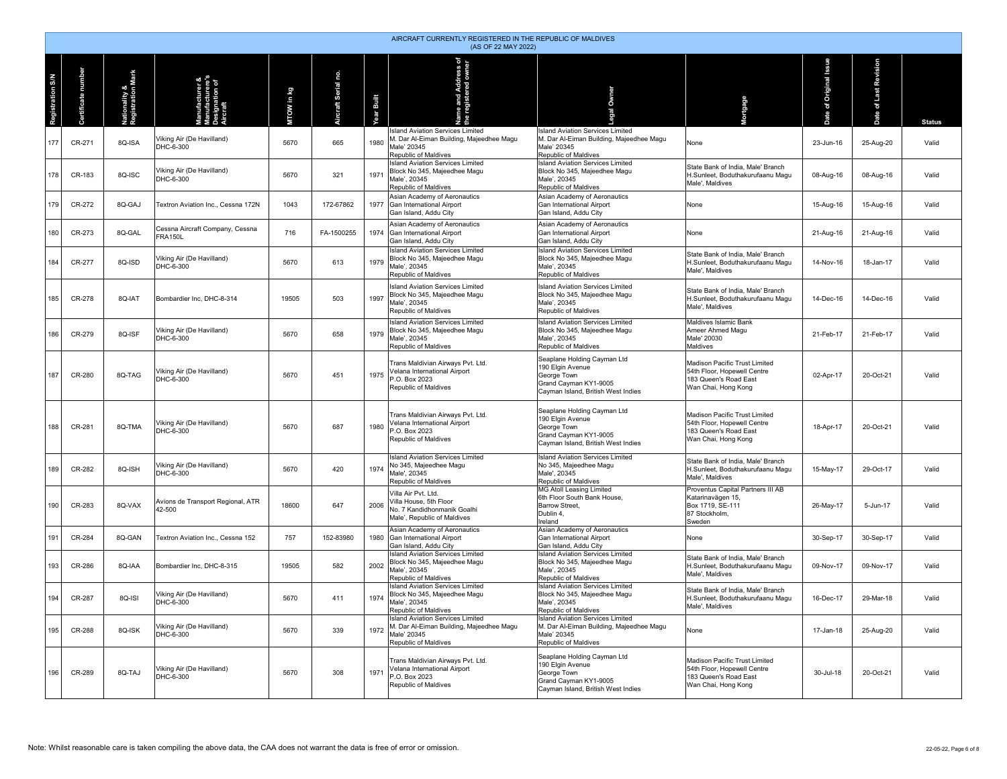|                  | AIRCRAFT CURRENTLY REGISTERED IN THE REPUBLIC OF MALDIVES<br>(AS OF 22 MAY 2022) |                                    |                                                   |            |                     |            |                                                                                                                            |                                                                                                                               |                                                                                                              |                             |                          |               |  |  |
|------------------|----------------------------------------------------------------------------------|------------------------------------|---------------------------------------------------|------------|---------------------|------------|----------------------------------------------------------------------------------------------------------------------------|-------------------------------------------------------------------------------------------------------------------------------|--------------------------------------------------------------------------------------------------------------|-----------------------------|--------------------------|---------------|--|--|
| Registration S/N | rtificate number<br>පි                                                           | Nationality &<br>Registration Mark | ircraft<br>The distribution<br>The raft<br>ırer & | MTOW in kg | Aircraft Serial no. | Year Built | me and Address of<br>Integistered owner<br>ar<br>the i                                                                     | <b>Owner</b>                                                                                                                  | Mortgage                                                                                                     | Original Issue<br>ð<br>Date | Revision<br>of Last<br>ă | <b>Status</b> |  |  |
| 177              | CR-271                                                                           | 8Q-ISA                             | Viking Air (De Havilland)<br>DHC-6-300            | 5670       | 665                 | 1980       | <b>Island Aviation Services Limited</b><br>M. Dar Al-Eiman Building, Majeedhee Magu<br>Male' 20345<br>Republic of Maldives | <b>Island Aviation Services Limited</b><br>M. Dar Al-Eiman Building, Majeedhee Magu<br>Male' 20345<br>Republic of Maldives    | None                                                                                                         | 23-Jun-16                   | 25-Aug-20                | Valid         |  |  |
| 178              | CR-183                                                                           | 8Q-ISC                             | Viking Air (De Havilland)<br>DHC-6-300            | 5670       | 321                 | 1971       | <b>Island Aviation Services Limited</b><br>Block No 345, Majeedhee Magu<br>Male', 20345<br>Republic of Maldives            | <b>Island Aviation Services Limited</b><br>Block No 345, Majeedhee Magu<br>Male', 20345<br>Republic of Maldives               | State Bank of India, Male' Branch<br>H.Sunleet, Boduthakurufaanu Magu<br>Male', Maldives                     | 08-Aug-16                   | 08-Aug-16                | Valid         |  |  |
| 179              | CR-272                                                                           | 8Q-GAJ                             | Textron Aviation Inc., Cessna 172N                | 1043       | 172-67862           | 1977       | Asian Academy of Aeronautics<br>Gan International Airport<br>Gan Island, Addu City                                         | Asian Academy of Aeronautics<br><b>Gan International Airport</b><br>Gan Island, Addu City                                     | None                                                                                                         | 15-Aug-16                   | 15-Aug-16                | Valid         |  |  |
| 180              | CR-273                                                                           | 8Q-GAL                             | Cessna Aircraft Company, Cessna<br><b>FRA150L</b> | 716        | FA-1500255          | 1974       | Asian Academy of Aeronautics<br>Gan International Airport<br>Gan Island, Addu City                                         | Asian Academy of Aeronautics<br>Gan International Airport<br>Gan Island, Addu City                                            | None                                                                                                         | 21-Aug-16                   | 21-Aug-16                | Valid         |  |  |
| 184              | CR-277                                                                           | 8Q-ISD                             | Viking Air (De Havilland)<br>DHC-6-300            | 5670       | 613                 | 1979       | <b>Island Aviation Services Limited</b><br>Block No 345, Majeedhee Magu<br>Male', 20345<br>Republic of Maldives            | <b>Island Aviation Services Limited</b><br>Block No 345, Majeedhee Magu<br>Male', 20345<br>Republic of Maldives               | State Bank of India, Male' Branch<br>H.Sunleet, Boduthakurufaanu Magu<br>Male', Maldives                     | 14-Nov-16                   | 18-Jan-17                | Valid         |  |  |
| 185              | CR-278                                                                           | 8Q-IAT                             | Bombardier Inc. DHC-8-314                         | 19505      | 503                 | 1997       | <b>Island Aviation Services Limited</b><br>Block No 345. Maieedhee Magu<br>Male', 20345<br>Republic of Maldives            | <b>Island Aviation Services Limited</b><br>Block No 345, Majeedhee Magu<br>Male', 20345<br>Republic of Maldives               | State Bank of India, Male' Branch<br>H.Sunleet. Boduthakurufaanu Magu<br>Male', Maldives                     | 14-Dec-16                   | 14-Dec-16                | Valid         |  |  |
| 186              | CR-279                                                                           | 8Q-ISF                             | Viking Air (De Havilland)<br>DHC-6-300            | 5670       | 658                 | 1979       | <b>Island Aviation Services Limited</b><br>Block No 345, Majeedhee Magu<br>Male', 20345<br>Republic of Maldives            | <b>Island Aviation Services Limited</b><br>Block No 345. Maieedhee Magu<br>Male', 20345<br>Republic of Maldives               | Maldives Islamic Bank<br>Ameer Ahmed Magu<br>Male' 20030<br>Maldives                                         | 21-Feb-17                   | 21-Feb-17                | Valid         |  |  |
| 187              | CR-280                                                                           | 8Q-TAG                             | Viking Air (De Havilland)<br>DHC-6-300            | 5670       | 451                 | 1975       | Trans Maldivian Airways Pvt. Ltd.<br>Velana International Airport<br>P.O. Box 2023<br>Republic of Maldives                 | Seaplane Holding Cayman Ltd<br>190 Elgin Avenue<br>George Town<br>Grand Cayman KY1-9005<br>Cayman Island, British West Indies | Madison Pacific Trust Limited<br>54th Floor, Hopewell Centre<br>183 Queen's Road East<br>Wan Chai, Hong Kong | 02-Apr-17                   | 20-Oct-21                | Valid         |  |  |
| 188              | CR-281                                                                           | 8Q-TMA                             | Viking Air (De Havilland)<br>DHC-6-300            | 5670       | 687                 | 1980       | Trans Maldivian Airways Pvt. Ltd.<br>Velana International Airport<br>P.O. Box 2023<br>Republic of Maldives                 | Seaplane Holding Cayman Ltd<br>190 Elgin Avenue<br>George Town<br>Grand Cayman KY1-9005<br>Cayman Island, British West Indies | Madison Pacific Trust Limited<br>54th Floor, Hopewell Centre<br>183 Queen's Road East<br>Wan Chai, Hong Kong | 18-Apr-17                   | 20-Oct-21                | Valid         |  |  |
| 189              | CR-282                                                                           | 8Q-ISH                             | Viking Air (De Havilland)<br>DHC-6-300            | 5670       | 420                 | 1974       | <b>Island Aviation Services Limited</b><br>No 345, Majeedhee Magu<br>Male', 20345<br>Republic of Maldives                  | <b>Island Aviation Services Limited</b><br>No 345, Majeedhee Magu<br>Male', 20345<br>Republic of Maldives                     | State Bank of India, Male' Branch<br>H.Sunleet, Boduthakurufaanu Magu<br>Male', Maldives                     | 15-May-17                   | 29-Oct-17                | Valid         |  |  |
| 190              | CR-283                                                                           | 8Q-VAX                             | Avions de Transport Regional, ATR<br>42-500       | 18600      | 647                 | 2006       | Villa Air Pyt. Ltd.<br>Villa House, 5th Floor<br>No. 7 Kandidhonmanik Goalhi<br>Male', Republic of Maldives                | MG Atoll Leasing Limited<br>6th Floor South Bank House,<br><b>Barrow Street,</b><br>Dublin 4,<br>Ireland                      | Proventus Capital Partners III AB<br>Katarinavägen 15,<br>Box 1719, SE-111<br>87 Stockholm,<br>Sweden        | 26-May-17                   | 5-Jun-17                 | Valid         |  |  |
| 191              | CR-284                                                                           | 8Q-GAN                             | Textron Aviation Inc., Cessna 152                 | 757        | 152-83980           | 1980       | Asian Academy of Aeronautics<br>Gan International Airport<br>Gan Island, Addu City                                         | Asian Academy of Aeronautics<br>Gan International Airport<br>Gan Island, Addu City                                            | None                                                                                                         | 30-Sep-17                   | 30-Sep-17                | Valid         |  |  |
| 193              | CR-286                                                                           | 8Q-IAA                             | Bombardier Inc, DHC-8-315                         | 19505      | 582                 | 2002       | <b>Island Aviation Services Limited</b><br>Block No 345, Majeedhee Magu<br>Male', 20345<br>Republic of Maldives            | <b>Island Aviation Services Limited</b><br>Block No 345, Majeedhee Magu<br>Male', 20345<br>Republic of Maldives               | State Bank of India, Male' Branch<br>H.Sunleet, Boduthakurufaanu Magu<br>Male', Maldives                     | 09-Nov-17                   | 09-Nov-17                | Valid         |  |  |
| 194              | CR-287                                                                           | 8Q-ISI                             | Viking Air (De Havilland)<br>DHC-6-300            | 5670       | 411                 | 1974       | <b>Island Aviation Services Limited</b><br>Block No 345, Majeedhee Magu<br>Male', 20345<br>Republic of Maldives            | <b>Island Aviation Services Limited</b><br>Block No 345, Majeedhee Magu<br>Male', 20345<br>Republic of Maldives               | State Bank of India, Male' Branch<br>H.Sunleet, Boduthakurufaanu Magu<br>Male', Maldives                     | 16-Dec-17                   | 29-Mar-18                | Valid         |  |  |
| 195              | CR-288                                                                           | 8Q-ISK                             | Viking Air (De Havilland)<br>DHC-6-300            | 5670       | 339                 | 1972       | <b>Island Aviation Services Limited</b><br>M. Dar Al-Eiman Building, Majeedhee Magu<br>Male' 20345<br>Republic of Maldives | Island Aviation Services Limited<br>M. Dar Al-Eiman Building, Majeedhee Magu<br>Male' 20345<br>Republic of Maldives           | None                                                                                                         | 17-Jan-18                   | 25-Aug-20                | Valid         |  |  |
| 196              | CR-289                                                                           | 8Q-TAJ                             | Viking Air (De Havilland)<br>DHC-6-300            | 5670       | 308                 | 1971       | Trans Maldivian Airways Pvt. Ltd.<br>Velana International Airport<br>P.O. Box 2023<br>Republic of Maldives                 | Seaplane Holding Cayman Ltd<br>190 Elgin Avenue<br>George Town<br>Grand Cayman KY1-9005<br>Cayman Island, British West Indies | Madison Pacific Trust Limited<br>54th Floor, Hopewell Centre<br>183 Queen's Road East<br>Wan Chai, Hong Kong | 30-Jul-18                   | 20-Oct-21                | Valid         |  |  |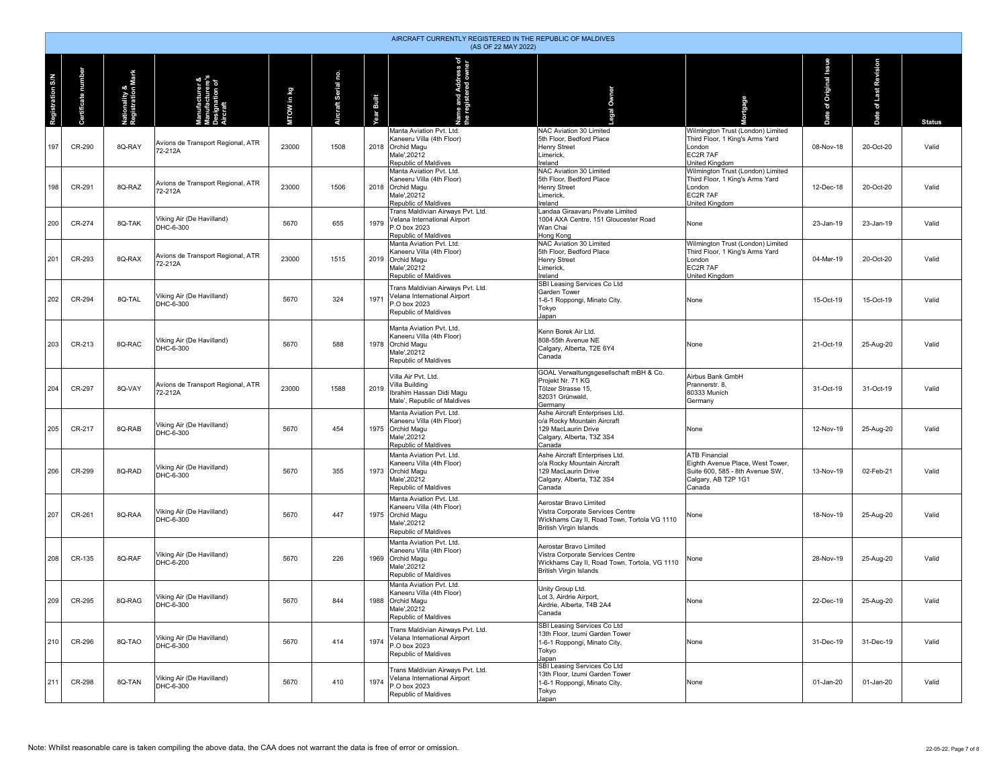|                  | AIRCRAFT CURRENTLY REGISTERED IN THE REPUBLIC OF MALDIVES<br>(AS OF 22 MAY 2022) |                                    |                                                             |            |                     |            |                                                                                                                     |                                                                                                                                             |                                                                                                                              |                             |                                |               |  |  |
|------------------|----------------------------------------------------------------------------------|------------------------------------|-------------------------------------------------------------|------------|---------------------|------------|---------------------------------------------------------------------------------------------------------------------|---------------------------------------------------------------------------------------------------------------------------------------------|------------------------------------------------------------------------------------------------------------------------------|-----------------------------|--------------------------------|---------------|--|--|
| Registration S/N | rtificate number<br>දී                                                           | Nationality &<br>Registration Mark | anufacturer &<br>anufacturere's<br>esignation of<br>ircraft | MTOW in kg | Aircraft Serial no. | Year Built | ne and Address of<br>registered owner<br>å                                                                          | gal Owner                                                                                                                                   | <b>Intgage</b>                                                                                                               | Original Issue<br>ð<br>Date | Revision<br>of Last<br>9<br>កី | <b>Status</b> |  |  |
| 197              | CR-290                                                                           | 8Q-RAY                             | Avions de Transport Regional, ATR<br>72-212A                | 23000      | 1508                |            | Manta Aviation Pvt. Ltd.<br>Kaneeru Villa (4th Floor)<br>2018 Orchid Magu<br>Male',20212<br>Republic of Maldives    | NAC Aviation 30 Limited<br>5th Floor, Bedford Place<br>Henry Street<br>Limerick,<br>Ireland                                                 | Wilmington Trust (London) Limited<br>Third Floor, 1 King's Arms Yard<br>London<br>EC2R 7AF<br>United Kingdom                 | 08-Nov-18                   | 20-Oct-20                      | Valid         |  |  |
| 198              | CR-291                                                                           | 8Q-RAZ                             | Avions de Transport Regional, ATR<br>72-212A                | 23000      | 1506                |            | Manta Aviation Pvt. Ltd.<br>Kaneeru Villa (4th Floor)<br>2018 Orchid Magu<br>Male', 20212<br>Republic of Maldives   | NAC Aviation 30 Limited<br>5th Floor, Bedford Place<br><b>Henry Street</b><br>Limerick,<br>Ireland                                          | Wilmington Trust (London) Limited<br>Third Floor, 1 King's Arms Yard<br>London<br>EC2R 7AF<br>United Kingdom                 | 12-Dec-18                   | 20-Oct-20                      | Valid         |  |  |
| 200              | CR-274                                                                           | 8Q-TAK                             | Viking Air (De Havilland)<br>DHC-6-300                      | 5670       | 655                 | 1979       | Trans Maldivian Airways Pvt. Ltd.<br>Velana International Airport<br>P.O box 2023<br>Republic of Maldives           | Landaa Giraavaru Private Limited<br>1004 AXA Centre, 151 Gloucester Road<br>Wan Chai<br>Hong Kong                                           | None                                                                                                                         | 23-Jan-19                   | 23-Jan-19                      | Valid         |  |  |
| 201              | CR-293                                                                           | 8Q-RAX                             | Avions de Transport Regional, ATR<br>72-212A                | 23000      | 1515                |            | Manta Aviation Pvt. Ltd.<br>Kaneeru Villa (4th Floor)<br>2019 Orchid Magu<br>Male', 20212<br>Republic of Maldives   | NAC Aviation 30 Limited<br>5th Floor, Bedford Place<br>Henry Street<br>Limerick,<br>Ireland                                                 | Wilmington Trust (London) Limited<br>Third Floor, 1 King's Arms Yard<br>London<br>EC2R 7AF<br>United Kingdom                 | 04-Mar-19                   | 20-Oct-20                      | Valid         |  |  |
| 202              | CR-294                                                                           | 8Q-TAL                             | Viking Air (De Havilland)<br>DHC-6-300                      | 5670       | 324                 | 1971       | Trans Maldivian Airways Pvt. Ltd.<br>Velana International Airport<br>P.O box 2023<br>Republic of Maldives           | SBI Leasing Services Co Ltd<br>Garden Tower<br>1-6-1 Roppongi, Minato City,<br>Tokyo<br>Japan                                               | None                                                                                                                         | 15-Oct-19                   | 15-Oct-19                      | Valid         |  |  |
| 203              | CR-213                                                                           | 8Q-RAC                             | Viking Air (De Havilland)<br>DHC-6-300                      | 5670       | 588                 | 1978       | Manta Aviation Pvt. Ltd.<br>Kaneeru Villa (4th Floor)<br><b>Orchid Magu</b><br>Male', 20212<br>Republic of Maldives | Kenn Borek Air Ltd.<br>808-55th Avenue NE<br>Calgary, Alberta, T2E 6Y4<br>Canada                                                            | None                                                                                                                         | 21-Oct-19                   | 25-Aug-20                      | Valid         |  |  |
| 204              | CR-297                                                                           | 8Q-VAY                             | Avions de Transport Regional, ATR<br>72-212A                | 23000      | 1588                | 2019       | Villa Air Pvt. Ltd.<br>Villa Building<br>Ibrahim Hassan Didi Magu<br>Male', Republic of Maldives                    | GOAL Verwaltungsgesellschaft mBH & Co.<br>Projekt Nr. 71 KG<br>Tölzer Strasse 15,<br>82031 Grünwald,<br>Germany                             | Airbus Bank GmbH<br>Prannerstr, 8.<br>80333 Munich<br>Germany                                                                | 31-Oct-19                   | 31-Oct-19                      | Valid         |  |  |
| 205              | CR-217                                                                           | 8Q-RAB                             | Viking Air (De Havilland)<br>DHC-6-300                      | 5670       | 454                 |            | Manta Aviation Pvt. Ltd.<br>Kaneeru Villa (4th Floor)<br>1975 Orchid Magu<br>Male', 20212<br>Republic of Maldives   | Ashe Aircraft Enterprises Ltd.<br>o/a Rocky Mountain Aircraft<br>129 MacLaurin Drive<br>Calgary, Alberta, T3Z 3S4<br>Canada                 | None                                                                                                                         | 12-Nov-19                   | 25-Aug-20                      | Valid         |  |  |
| 206              | CR-299                                                                           | 8Q-RAD                             | Viking Air (De Havilland)<br>DHC-6-300                      | 5670       | 355                 |            | Manta Aviation Pvt. Ltd.<br>Kaneeru Villa (4th Floor)<br>1973 Orchid Magu<br>Male', 20212<br>Republic of Maldives   | Ashe Aircraft Enterprises Ltd.<br>o/a Rocky Mountain Aircraft<br>129 MacLaurin Drive<br>Calgary, Alberta, T3Z 3S4<br>Canada                 | <b>ATB Financial</b><br>Eighth Avenue Place, West Tower,<br>Suite 600, 585 - 8th Avenue SW,<br>Calgary, AB T2P 1G1<br>Canada | 13-Nov-19                   | 02-Feb-21                      | Valid         |  |  |
| 207              | CR-261                                                                           | 8Q-RAA                             | Viking Air (De Havilland)<br>DHC-6-300                      | 5670       | 447                 |            | Manta Aviation Pvt. Ltd.<br>Kaneeru Villa (4th Floor)<br>1975 Orchid Magu<br>Male', 20212<br>Republic of Maldives   | Aerostar Bravo Limited<br>Vistra Corporate Services Centre<br>Wickhams Cay II, Road Town, Tortola VG 1110<br><b>British Virgin Islands</b>  | None                                                                                                                         | 18-Nov-19                   | 25-Aug-20                      | Valid         |  |  |
| 208              | CR-135                                                                           | 8Q-RAF                             | Viking Air (De Havilland)<br>DHC-6-200                      | 5670       | 226                 | 1969       | Manta Aviation Pvt. Ltd.<br>Kaneeru Villa (4th Floor)<br>Orchid Magu<br>Male', 20212<br>Republic of Maldives        | Aerostar Bravo Limited<br>Vistra Corporate Services Centre<br>Wickhams Cay II, Road Town, Tortola, VG 1110<br><b>British Virgin Islands</b> | None                                                                                                                         | 28-Nov-19                   | 25-Aug-20                      | Valid         |  |  |
| 209              | CR-295                                                                           | 8Q-RAG                             | Viking Air (De Havilland)<br>DHC-6-300                      | 5670       | 844                 |            | Manta Aviation Pvt. Ltd.<br>Kaneeru Villa (4th Floor)<br>1988 Orchid Magu<br>Male'.20212<br>Republic of Maldives    | Unity Group Ltd.<br>Lot 3, Airdrie Airport,<br>Airdrie, Alberta, T4B 2A4<br>Canada                                                          | None                                                                                                                         | 22-Dec-19                   | 25-Aug-20                      | Valid         |  |  |
| 210              | CR-296                                                                           | 8Q-TAO                             | Viking Air (De Havilland)<br>DHC-6-300                      | 5670       | 414                 | 1974       | Trans Maldivian Airways Pvt. Ltd.<br>Velana International Airport<br>P.O box 2023<br>Republic of Maldives           | SBI Leasing Services Co Ltd<br>13th Floor, Izumi Garden Tower<br>1-6-1 Roppongi, Minato City,<br>Tokyo<br>Japan                             | None                                                                                                                         | 31-Dec-19                   | 31-Dec-19                      | Valid         |  |  |
| 211              | CR-298                                                                           | 8Q-TAN                             | Viking Air (De Havilland)<br>DHC-6-300                      | 5670       | 410                 | 1974       | Trans Maldivian Airways Pvt. Ltd.<br>Velana International Airport<br>P.O box 2023<br>Republic of Maldives           | SBI Leasing Services Co Ltd<br>13th Floor, Izumi Garden Tower<br>1-6-1 Roppongi, Minato City,<br>Tokyo<br>Japan                             | None                                                                                                                         | 01-Jan-20                   | 01-Jan-20                      | Valid         |  |  |